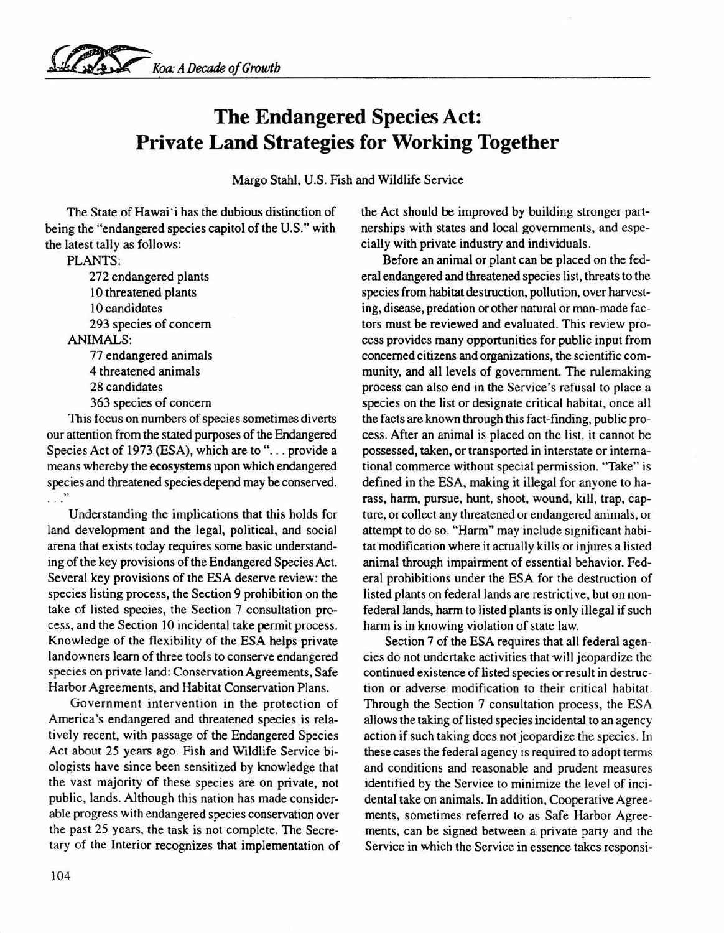

## **The Endangered Species Act: Private Land Strategies for Working Together**

Margo Stahl, U.S. Fish and Wildlife Service

The State of Hawai'i has the dubious distinction of being the "endangered species capitol of the U.S." with the latest tally as follows:

PLANTS:

272 endangered plants 10 threatened plants 10 candidates 293 species of concern ANIMALS:

77 endangered animals 4 threatened animals 28 candidates 363 species of concern

This focus on numbers of species sometimes diverts our attention from the stated purposes of the Endangered Species Act of 1973 (ESA), which are to "... provide a means whereby the ecosystems upon which endangered species and threatened species depend may be conserved.  $\cdots$ "

Understanding the implications that this holds for land development and the legal, political, and social arena that exists today requires some basic understanding of the key provisions of the Endangered Species Act. Several key provisions of the ESA deserve review: the species listing process, the Section 9 prohibition on the take of listed species, the Section 7 consultation process, and the Section 10 incidental take permit process. Knowledge of the flexibility of the ESA helps private landowners learn of three tools to conserve endangered species on private land: Conservation Agreements, Safe Harbor Agreements, and Habitat Conservation Plans.

Government intervention in the protection of America's endangered and threatened species is relatively recent, with passage of the Endangered Species Act about 25 years ago. Fish and Wildlife Service biologists have since been sensitized by knowledge that the vast majority of these species are on private, not public, lands. Although this nation has made considerable progress with endangered species conservation over the past 25 years, the task is not complete. The Secretary of the Interior recognizes that implementation of the Act should be improved by building stronger partnerships with states and local governments, and especially with private industry and individuals.

Before an animal or plant can be placed on the federal endangered and threatened species list, threats to the species from habitat destruction, pollution, over harvesting, disease, predation or other natural or man-made factors must be reviewed and evaluated. This review process provides many opportunities for public input from concerned citizens and organizations, the scientific community, and all levels of government. The rulemaking process can also end in the Service's refusal to place a species on the list or designate critical habitat, once all the facts are known through this fact-finding, public process. After an animal is placed on the list, it cannot be possessed, taken, or transported in interstate or international commerce without special permission. "Take" is defined in the ESA, making it illegal for anyone to harass, harm, pursue, hunt, shoot, wound, kill, trap, capture, or collect any threatened or endangered animals, or attempt to do so. "Harm" may include significant habitat modification where it actually kills or injures a listed animal through impairment of essential behavior. Federal prohibitions under the ESA for the destruction of listed plants on federal lands are restrictive, but on nonfederal lands, harm to listed plants is only illegal if such harm is in knowing violation of state law.

Section 7 of the ESA requires that all federal agencies do not undertake activities that will jeopardize the continued existence of listed species or result in destruction or adverse modification to their critical habitat. Through the Section 7 consultation process, the ESA allows the taking of listed species incidental to an agency action if such taking does not jeopardize the species. In these cases the federal agency is required to adopt terms and conditions and reasonable and prudent measures identified by the Service to minimize the level of incidental take on animals. In addition, Cooperative Agreements, sometimes referred to as Safe Harbor Agreements, can be signed between a private party and the Service in which the Service in essence takes responsi